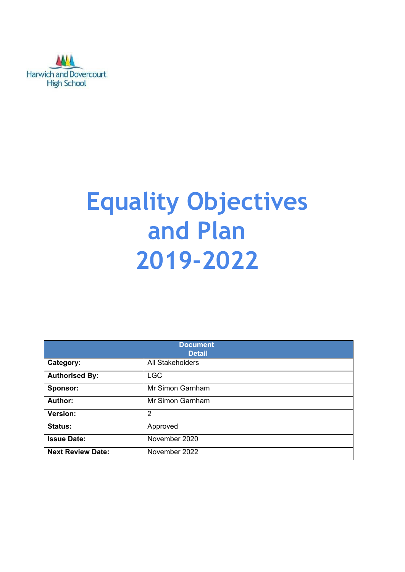

# **Equality Objectives and Plan 2019-2022**

| <b>Document</b><br><b>Detail</b> |                  |  |  |
|----------------------------------|------------------|--|--|
| Category:                        | All Stakeholders |  |  |
| <b>Authorised By:</b>            | <b>LGC</b>       |  |  |
| Sponsor:                         | Mr Simon Garnham |  |  |
| <b>Author:</b>                   | Mr Simon Garnham |  |  |
| Version:                         | $\overline{2}$   |  |  |
| Status:                          | Approved         |  |  |
| <b>Issue Date:</b>               | November 2020    |  |  |
| <b>Next Review Date:</b>         | November 2022    |  |  |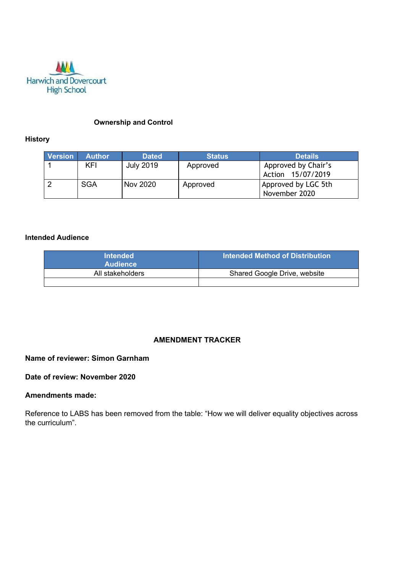

#### **Ownership and Control**

#### **History**

| <b>Version</b> | <b>Author</b> | <b>Dated</b>     | <b>Status</b> | <b>Details</b>                           |
|----------------|---------------|------------------|---------------|------------------------------------------|
|                | KFI           | <b>July 2019</b> | Approved      | Approved by Chair's<br>Action 15/07/2019 |
|                | <b>SGA</b>    | <b>Nov 2020</b>  | Approved      | Approved by LGC 5th<br>November 2020     |

#### **Intended Audience**

| <b>Intended</b><br><b>Audience</b> | Intended Method of Distribution |
|------------------------------------|---------------------------------|
| All stakeholders                   | Shared Google Drive, website    |
|                                    |                                 |

## **AMENDMENT TRACKER**

# **Name of reviewer: Simon Garnham**

## **Date of review: November 2020**

#### **Amendments made:**

Reference to LABS has been removed from the table: "How we will deliver equality objectives across the curriculum".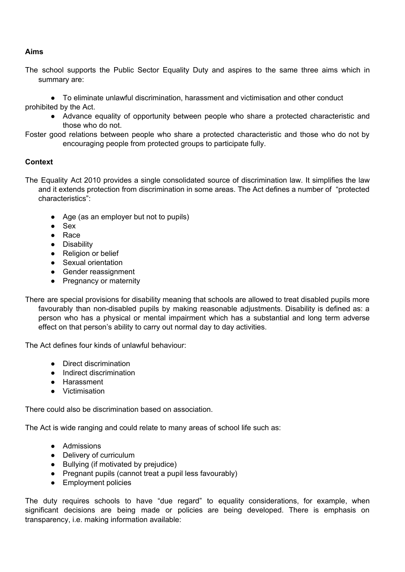## **Aims**

The school supports the Public Sector Equality Duty and aspires to the same three aims which in summary are:

● To eliminate unlawful discrimination, harassment and victimisation and other conduct prohibited by the Act.

- Advance equality of opportunity between people who share a protected characteristic and those who do not.
- Foster good relations between people who share a protected characteristic and those who do not by encouraging people from protected groups to participate fully.

## **Context**

- The Equality Act 2010 provides a single consolidated source of discrimination law. It simplifies the law and it extends protection from discrimination in some areas. The Act defines a number of "protected characteristics":
	- Age (as an employer but not to pupils)
	- Sex
	- Race
	- Disability
	- Religion or belief
	- Sexual orientation
	- Gender reassignment
	- Pregnancy or maternity
- There are special provisions for disability meaning that schools are allowed to treat disabled pupils more favourably than non-disabled pupils by making reasonable adjustments. Disability is defined as: a person who has a physical or mental impairment which has a substantial and long term adverse effect on that person's ability to carry out normal day to day activities.

The Act defines four kinds of unlawful behaviour:

- Direct discrimination
- Indirect discrimination
- Harassment
- Victimisation

There could also be discrimination based on association.

The Act is wide ranging and could relate to many areas of school life such as:

- Admissions
- Delivery of curriculum
- Bullying (if motivated by prejudice)
- Pregnant pupils (cannot treat a pupil less favourably)
- Employment policies

The duty requires schools to have "due regard" to equality considerations, for example, when significant decisions are being made or policies are being developed. There is emphasis on transparency, i.e. making information available: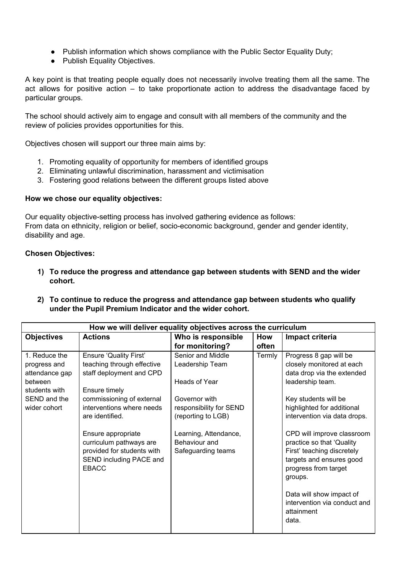- Publish information which shows compliance with the Public Sector Equality Duty;
- Publish Equality Objectives.

A key point is that treating people equally does not necessarily involve treating them all the same. The act allows for positive action – to take proportionate action to address the disadvantage faced by particular groups.

The school should actively aim to engage and consult with all members of the community and the review of policies provides opportunities for this.

Objectives chosen will support our three main aims by:

- 1. Promoting equality of opportunity for members of identified groups
- 2. Eliminating unlawful discrimination, harassment and victimisation
- 3. Fostering good relations between the different groups listed above

#### **How we chose our equality objectives:**

Our equality objective-setting process has involved gathering evidence as follows: From data on ethnicity, religion or belief, socio-economic background, gender and gender identity, disability and age.

#### **Chosen Objectives:**

- **1) To reduce the progress and attendance gap between students with SEND and the wider cohort.**
- **2) To continue to reduce the progress and attendance gap between students who qualify under the Pupil Premium Indicator and the wider cohort.**

| How we will deliver equality objectives across the curriculum                                               |                                                                                                                                                                                       |                                                                                                                         |        |                                                                                                                                                                                                                                         |  |  |
|-------------------------------------------------------------------------------------------------------------|---------------------------------------------------------------------------------------------------------------------------------------------------------------------------------------|-------------------------------------------------------------------------------------------------------------------------|--------|-----------------------------------------------------------------------------------------------------------------------------------------------------------------------------------------------------------------------------------------|--|--|
| <b>Objectives</b>                                                                                           | <b>Actions</b>                                                                                                                                                                        | Who is responsible                                                                                                      | How    | Impact criteria                                                                                                                                                                                                                         |  |  |
|                                                                                                             |                                                                                                                                                                                       | for monitoring?                                                                                                         | often  |                                                                                                                                                                                                                                         |  |  |
| 1. Reduce the<br>progress and<br>attendance gap<br>between<br>students with<br>SEND and the<br>wider cohort | <b>Ensure 'Quality First'</b><br>teaching through effective<br>staff deployment and CPD<br>Ensure timely<br>commissioning of external<br>interventions where needs<br>are identified. | Senior and Middle<br>Leadership Team<br>Heads of Year<br>Governor with<br>responsibility for SEND<br>(reporting to LGB) | Termly | Progress 8 gap will be<br>closely monitored at each<br>data drop via the extended<br>leadership team.<br>Key students will be<br>highlighted for additional<br>intervention via data drops.                                             |  |  |
|                                                                                                             | Ensure appropriate<br>curriculum pathways are<br>provided for students with<br>SEND including PACE and<br><b>EBACC</b>                                                                | Learning, Attendance,<br>Behaviour and<br>Safeguarding teams                                                            |        | CPD will improve classroom<br>practice so that 'Quality<br>First' teaching discretely<br>targets and ensures good<br>progress from target<br>groups.<br>Data will show impact of<br>intervention via conduct and<br>attainment<br>data. |  |  |